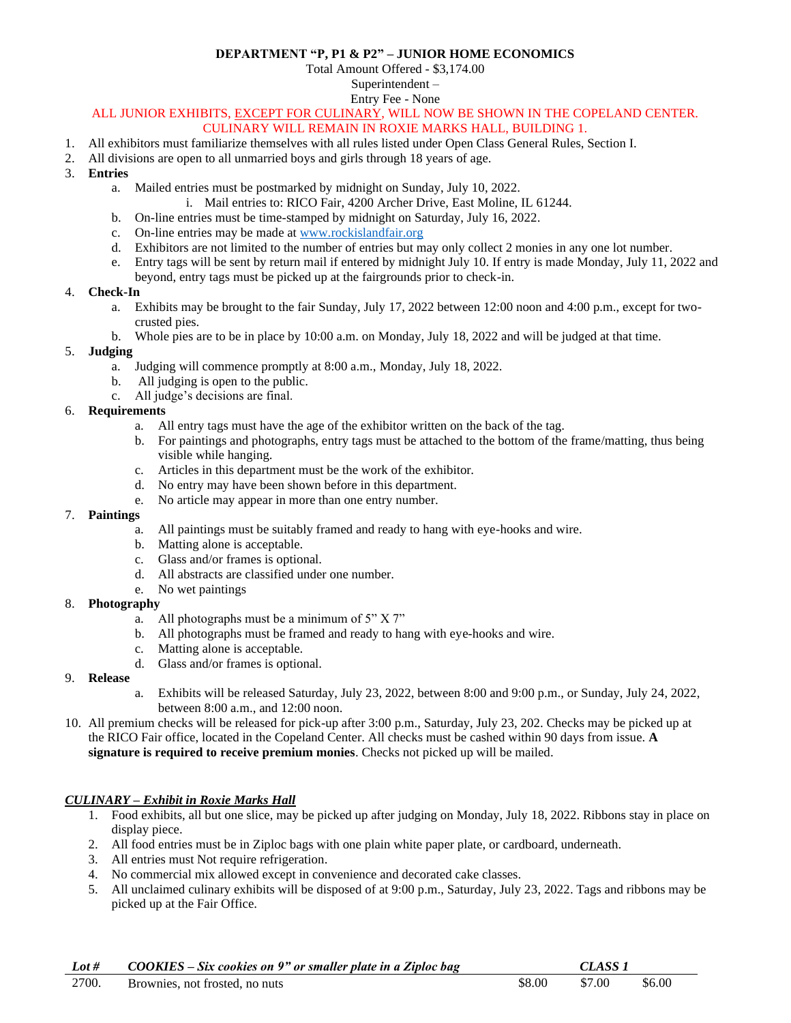#### **DEPARTMENT "P, P1 & P2" – JUNIOR HOME ECONOMICS**

Total Amount Offered - \$3,174.00

Superintendent –

Entry Fee - None

# ALL JUNIOR EXHIBITS, EXCEPT FOR CULINARY, WILL NOW BE SHOWN IN THE COPELAND CENTER.

### CULINARY WILL REMAIN IN ROXIE MARKS HALL, BUILDING 1.

- 1. All exhibitors must familiarize themselves with all rules listed under Open Class General Rules, Section I.
- 2. All divisions are open to all unmarried boys and girls through 18 years of age.
- 3. **Entries**
	- a. Mailed entries must be postmarked by midnight on Sunday, July 10, 2022.
		- i. Mail entries to: RICO Fair, 4200 Archer Drive, East Moline, IL 61244.
	- b. On-line entries must be time-stamped by midnight on Saturday, July 16, 2022.
	- c. On-line entries may be made at [www.rockislandfair.org](http://www.rockislandfair.org/)
	- d. Exhibitors are not limited to the number of entries but may only collect 2 monies in any one lot number.
	- e. Entry tags will be sent by return mail if entered by midnight July 10. If entry is made Monday, July 11, 2022 and beyond, entry tags must be picked up at the fairgrounds prior to check-in.
- 4. **Check-In**
	- a. Exhibits may be brought to the fair Sunday, July 17, 2022 between 12:00 noon and 4:00 p.m., except for twocrusted pies.
	- b. Whole pies are to be in place by 10:00 a.m. on Monday, July 18, 2022 and will be judged at that time.

#### 5. **Judging**

- a. Judging will commence promptly at 8:00 a.m., Monday, July 18, 2022.
- b. All judging is open to the public.
- c. All judge's decisions are final.

#### 6. **Requirements**

- a. All entry tags must have the age of the exhibitor written on the back of the tag.
- b. For paintings and photographs, entry tags must be attached to the bottom of the frame/matting, thus being visible while hanging.
- c. Articles in this department must be the work of the exhibitor.
- d. No entry may have been shown before in this department.
- e. No article may appear in more than one entry number.

#### 7. **Paintings**

- a. All paintings must be suitably framed and ready to hang with eye-hooks and wire.
- b. Matting alone is acceptable.
- c. Glass and/or frames is optional.
- d. All abstracts are classified under one number.
- e. No wet paintings
- 8. **Photography**
	- a. All photographs must be a minimum of 5" X 7"
	- b. All photographs must be framed and ready to hang with eye-hooks and wire.
	- c. Matting alone is acceptable.
	- d. Glass and/or frames is optional.

#### 9. **Release**

- a. Exhibits will be released Saturday, July 23, 2022, between 8:00 and 9:00 p.m., or Sunday, July 24, 2022, between 8:00 a.m., and 12:00 noon.
- 10. All premium checks will be released for pick-up after 3:00 p.m., Saturday, July 23, 202. Checks may be picked up at the RICO Fair office, located in the Copeland Center. All checks must be cashed within 90 days from issue. **A signature is required to receive premium monies**. Checks not picked up will be mailed.

#### *CULINARY – Exhibit in Roxie Marks Hall*

- 1. Food exhibits, all but one slice, may be picked up after judging on Monday, July 18, 2022. Ribbons stay in place on display piece.
- 2. All food entries must be in Ziploc bags with one plain white paper plate, or cardboard, underneath.
- 3. All entries must Not require refrigeration.
- 4. No commercial mix allowed except in convenience and decorated cake classes.
- 5. All unclaimed culinary exhibits will be disposed of at 9:00 p.m., Saturday, July 23, 2022. Tags and ribbons may be picked up at the Fair Office.

| Lot # | COOKIES – Six cookies on 9" or smaller plate in a Ziploc bag |        | CLASS <sub>1</sub> |        |
|-------|--------------------------------------------------------------|--------|--------------------|--------|
| 2700. | Brownies, not frosted, no nuts                               | \$8.00 | \$7.00             | \$6.00 |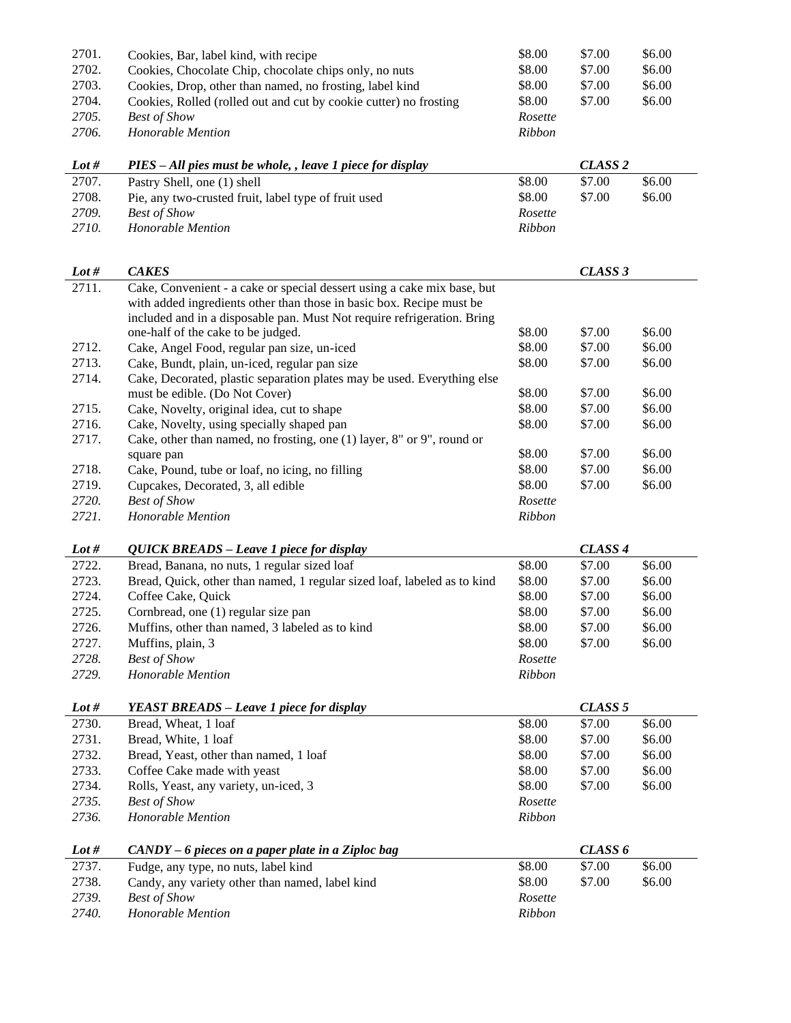| 2701.   | Cookies, Bar, label kind, with recipe                                                                                                           | \$8.00  | \$7.00             | \$6.00 |
|---------|-------------------------------------------------------------------------------------------------------------------------------------------------|---------|--------------------|--------|
| 2702.   | Cookies, Chocolate Chip, chocolate chips only, no nuts                                                                                          | \$8.00  | \$7.00             | \$6.00 |
| 2703.   | Cookies, Drop, other than named, no frosting, label kind                                                                                        | \$8.00  | \$7.00             | \$6.00 |
| 2704.   | Cookies, Rolled (rolled out and cut by cookie cutter) no frosting                                                                               | \$8.00  | \$7.00             | \$6.00 |
| 2705.   | <b>Best of Show</b>                                                                                                                             | Rosette |                    |        |
| 2706.   | Honorable Mention                                                                                                                               | Ribbon  |                    |        |
| Lot #   | PIES - All pies must be whole, , leave 1 piece for display                                                                                      |         | CLASS <sub>2</sub> |        |
| 2707.   | Pastry Shell, one (1) shell                                                                                                                     | \$8.00  | \$7.00             | \$6.00 |
| 2708.   | Pie, any two-crusted fruit, label type of fruit used                                                                                            | \$8.00  | \$7.00             | \$6.00 |
| 2709.   | <b>Best of Show</b>                                                                                                                             | Rosette |                    |        |
| 2710.   | <b>Honorable Mention</b>                                                                                                                        | Ribbon  |                    |        |
|         |                                                                                                                                                 |         |                    |        |
|         |                                                                                                                                                 |         |                    |        |
| Lot $#$ | <b>CAKES</b>                                                                                                                                    |         | CLASS 3            |        |
| 2711.   | Cake, Convenient - a cake or special dessert using a cake mix base, but<br>with added ingredients other than those in basic box. Recipe must be |         |                    |        |
|         | included and in a disposable pan. Must Not require refrigeration. Bring                                                                         |         |                    |        |
|         | one-half of the cake to be judged.                                                                                                              | \$8.00  | \$7.00             | \$6.00 |
| 2712.   | Cake, Angel Food, regular pan size, un-iced                                                                                                     | \$8.00  | \$7.00             | \$6.00 |
| 2713.   | Cake, Bundt, plain, un-iced, regular pan size                                                                                                   | \$8.00  | \$7.00             | \$6.00 |
| 2714.   | Cake, Decorated, plastic separation plates may be used. Everything else                                                                         |         |                    |        |
|         | must be edible. (Do Not Cover)                                                                                                                  | \$8.00  | \$7.00             | \$6.00 |
| 2715.   | Cake, Novelty, original idea, cut to shape                                                                                                      | \$8.00  | \$7.00             | \$6.00 |
| 2716.   | Cake, Novelty, using specially shaped pan                                                                                                       | \$8.00  | \$7.00             | \$6.00 |
| 2717.   | Cake, other than named, no frosting, one (1) layer, 8" or 9", round or                                                                          |         |                    |        |
|         | square pan                                                                                                                                      | \$8.00  | \$7.00             | \$6.00 |
| 2718.   | Cake, Pound, tube or loaf, no icing, no filling                                                                                                 | \$8.00  | \$7.00             | \$6.00 |
| 2719.   | Cupcakes, Decorated, 3, all edible                                                                                                              | \$8.00  | \$7.00             | \$6.00 |
| 2720.   | <b>Best of Show</b>                                                                                                                             | Rosette |                    |        |
| 2721.   | Honorable Mention                                                                                                                               | Ribbon  |                    |        |
|         |                                                                                                                                                 |         |                    |        |
| Lot $#$ | QUICK BREADS - Leave 1 piece for display                                                                                                        |         | CLASS <sub>4</sub> |        |
| 2722.   | Bread, Banana, no nuts, 1 regular sized loaf                                                                                                    | \$8.00  | \$7.00             | \$6.00 |
| 2723.   | Bread, Quick, other than named, 1 regular sized loaf, labeled as to kind                                                                        | \$8.00  | \$7.00             | \$6.00 |
| 2724.   | Coffee Cake, Quick                                                                                                                              | \$8.00  | \$7.00             | \$6.00 |
| 2725.   | Cornbread, one (1) regular size pan                                                                                                             | \$8.00  | \$7.00             | \$6.00 |
| 2726.   | Muffins, other than named, 3 labeled as to kind                                                                                                 | \$8.00  | \$7.00             | \$6.00 |
| 2727.   | Muffins, plain, 3                                                                                                                               | \$8.00  | \$7.00             | \$6.00 |
| 2728.   | <b>Best of Show</b>                                                                                                                             | Rosette |                    |        |
| 2729.   | Honorable Mention                                                                                                                               | Ribbon  |                    |        |
| Lot $#$ | <b>YEAST BREADS – Leave 1 piece for display</b>                                                                                                 |         | CLASS <sub>5</sub> |        |
| 2730.   | Bread, Wheat, 1 loaf                                                                                                                            | \$8.00  | \$7.00             | \$6.00 |
| 2731.   | Bread, White, 1 loaf                                                                                                                            | \$8.00  | \$7.00             | \$6.00 |
| 2732.   | Bread, Yeast, other than named, 1 loaf                                                                                                          | \$8.00  | \$7.00             | \$6.00 |
| 2733.   | Coffee Cake made with yeast                                                                                                                     | \$8.00  | \$7.00             | \$6.00 |
| 2734.   | Rolls, Yeast, any variety, un-iced, 3                                                                                                           | \$8.00  | \$7.00             | \$6.00 |
| 2735.   | <b>Best of Show</b>                                                                                                                             | Rosette |                    |        |
| 2736.   | Honorable Mention                                                                                                                               | Ribbon  |                    |        |
|         |                                                                                                                                                 |         |                    |        |
| Lot $#$ | $CANDY - 6$ pieces on a paper plate in a Ziploc bag                                                                                             |         | CLASS <sub>6</sub> |        |
| 2737.   | Fudge, any type, no nuts, label kind                                                                                                            | \$8.00  | \$7.00             | \$6.00 |
| 2738.   | Candy, any variety other than named, label kind                                                                                                 | \$8.00  | \$7.00             | \$6.00 |
| 2739.   | <b>Best of Show</b>                                                                                                                             | Rosette |                    |        |
| 2740.   | Honorable Mention                                                                                                                               | Ribbon  |                    |        |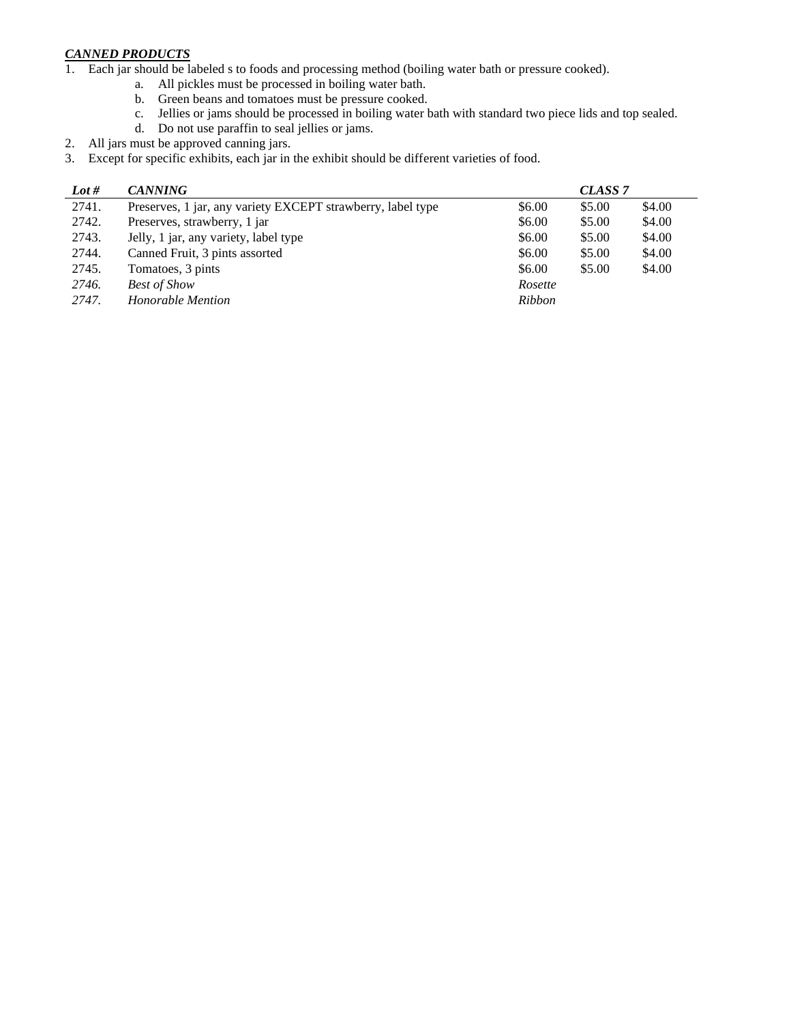#### *CANNED PRODUCTS*

- 1. Each jar should be labeled s to foods and processing method (boiling water bath or pressure cooked).
	- a. All pickles must be processed in boiling water bath.
	- b. Green beans and tomatoes must be pressure cooked.
	- c. Jellies or jams should be processed in boiling water bath with standard two piece lids and top sealed.
	- d. Do not use paraffin to seal jellies or jams.
- 2. All jars must be approved canning jars.
- 3. Except for specific exhibits, each jar in the exhibit should be different varieties of food.

| Lot # | <b>CANNING</b>                                              |         | CLASS <sub>7</sub> |        |
|-------|-------------------------------------------------------------|---------|--------------------|--------|
| 2741. | Preserves, 1 jar, any variety EXCEPT strawberry, label type | \$6.00  | \$5.00             | \$4.00 |
| 2742. | Preserves, strawberry, 1 jar                                | \$6.00  | \$5.00             | \$4.00 |
| 2743. | Jelly, 1 jar, any variety, label type                       | \$6.00  | \$5.00             | \$4.00 |
| 2744. | Canned Fruit, 3 pints assorted                              | \$6.00  | \$5.00             | \$4.00 |
| 2745. | Tomatoes, 3 pints                                           | \$6.00  | \$5.00             | \$4.00 |
| 2746. | <b>Best of Show</b>                                         | Rosette |                    |        |
| 2747. | Honorable Mention                                           | Ribbon  |                    |        |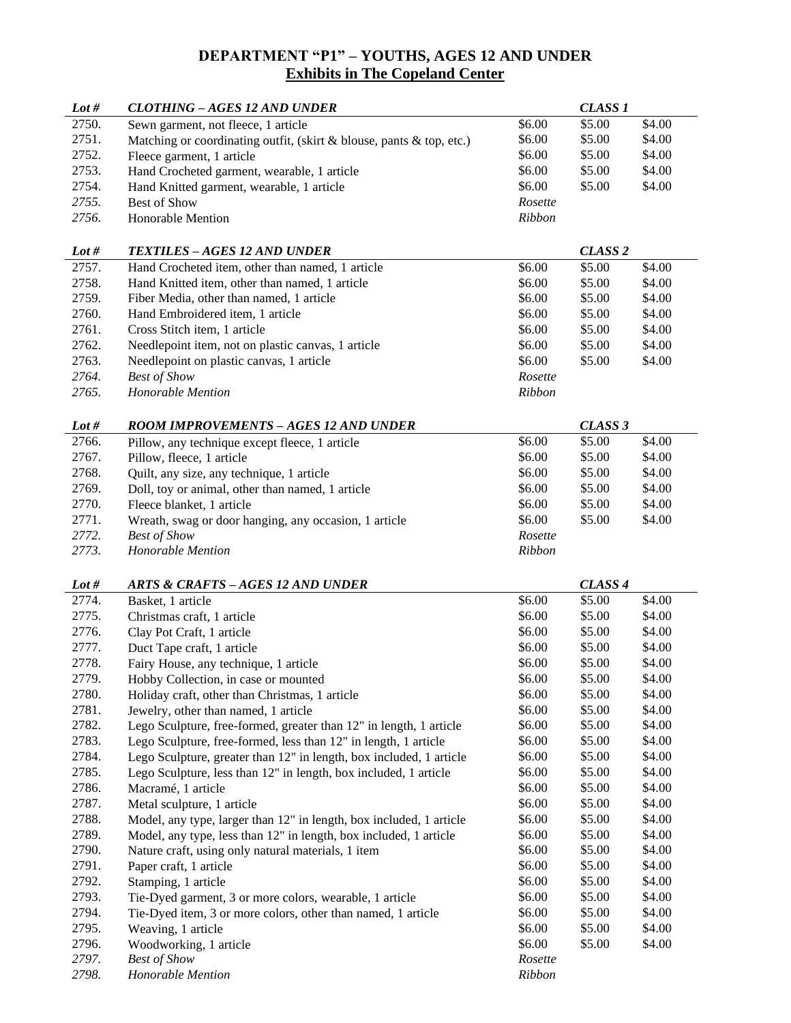# **DEPARTMENT "P1" – YOUTHS, AGES 12 AND UNDER Exhibits in The Copeland Center**

| Lot $#$        | <b>CLOTHING - AGES 12 AND UNDER</b>                                  |                   | <b>CLASS 1</b>     |        |
|----------------|----------------------------------------------------------------------|-------------------|--------------------|--------|
| 2750.          | Sewn garment, not fleece, 1 article                                  | \$6.00            | \$5.00             | \$4.00 |
| 2751.          | Matching or coordinating outfit, (skirt & blouse, pants & top, etc.) | \$6.00            | \$5.00             | \$4.00 |
| 2752.          | Fleece garment, 1 article                                            | \$6.00            | \$5.00             | \$4.00 |
| 2753.          | Hand Crocheted garment, wearable, 1 article                          | \$6.00            | \$5.00             | \$4.00 |
| 2754.          | Hand Knitted garment, wearable, 1 article                            | \$6.00            | \$5.00             | \$4.00 |
| 2755.          | Best of Show                                                         | Rosette           |                    |        |
| 2756.          | Honorable Mention                                                    | Ribbon            |                    |        |
|                |                                                                      |                   |                    |        |
| Lot #          | <b>TEXTILES - AGES 12 AND UNDER</b>                                  |                   | CLASS <sub>2</sub> |        |
| 2757.          | Hand Crocheted item, other than named, 1 article                     | \$6.00            | \$5.00             | \$4.00 |
| 2758.          | Hand Knitted item, other than named, 1 article                       | \$6.00            | \$5.00             | \$4.00 |
| 2759.          | Fiber Media, other than named, 1 article                             | \$6.00            | \$5.00             | \$4.00 |
| 2760.          | Hand Embroidered item, 1 article                                     | \$6.00            | \$5.00             | \$4.00 |
| 2761.          | Cross Stitch item, 1 article                                         | \$6.00            | \$5.00             | \$4.00 |
| 2762.          | Needlepoint item, not on plastic canvas, 1 article                   | \$6.00            | \$5.00             | \$4.00 |
| 2763.          | Needlepoint on plastic canvas, 1 article                             | \$6.00            | \$5.00             | \$4.00 |
| 2764.          | <b>Best of Show</b>                                                  | Rosette           |                    |        |
| 2765.          | Honorable Mention                                                    | Ribbon            |                    |        |
| Lot $#$        | <b>ROOM IMPROVEMENTS - AGES 12 AND UNDER</b>                         |                   | CLASS <sub>3</sub> |        |
| 2766.          | Pillow, any technique except fleece, 1 article                       | \$6.00            | \$5.00             | \$4.00 |
| 2767.          | Pillow, fleece, 1 article                                            | \$6.00            | \$5.00             | \$4.00 |
| 2768.          | Quilt, any size, any technique, 1 article                            | \$6.00            | \$5.00             | \$4.00 |
| 2769.          | Doll, toy or animal, other than named, 1 article                     | \$6.00            | \$5.00             | \$4.00 |
| 2770.          | Fleece blanket, 1 article                                            | \$6.00            | \$5.00             | \$4.00 |
| 2771.          | Wreath, swag or door hanging, any occasion, 1 article                | \$6.00            | \$5.00             | \$4.00 |
| 2772.          | <b>Best of Show</b>                                                  | Rosette           |                    |        |
|                |                                                                      |                   |                    |        |
|                |                                                                      |                   |                    |        |
| 2773.          | Honorable Mention                                                    | Ribbon            |                    |        |
| Lot #          | <b>ARTS &amp; CRAFTS-AGES 12 AND UNDER</b>                           |                   | CLASS <sub>4</sub> |        |
| 2774.          | Basket, 1 article                                                    | \$6.00            | \$5.00             | \$4.00 |
| 2775.          | Christmas craft, 1 article                                           | \$6.00            | \$5.00             | \$4.00 |
| 2776.          | Clay Pot Craft, 1 article                                            | \$6.00            | \$5.00             | \$4.00 |
| 2777.          | Duct Tape craft, 1 article                                           | \$6.00            | \$5.00             | \$4.00 |
| 2778.          | Fairy House, any technique, 1 article                                | \$6.00            | \$5.00             | \$4.00 |
| 2779.          | Hobby Collection, in case or mounted                                 | \$6.00            | \$5.00             | \$4.00 |
| 2780.          | Holiday craft, other than Christmas, 1 article                       | \$6.00            | \$5.00             | \$4.00 |
| 2781.          | Jewelry, other than named, 1 article                                 | \$6.00            | \$5.00             | \$4.00 |
| 2782.          | Lego Sculpture, free-formed, greater than 12" in length, 1 article   | \$6.00            | \$5.00             | \$4.00 |
| 2783.          | Lego Sculpture, free-formed, less than 12" in length, 1 article      | \$6.00            | \$5.00             | \$4.00 |
| 2784.          | Lego Sculpture, greater than 12" in length, box included, 1 article  | \$6.00            | \$5.00             | \$4.00 |
| 2785.          | Lego Sculpture, less than 12" in length, box included, 1 article     | \$6.00            | \$5.00             | \$4.00 |
| 2786.          | Macramé, 1 article                                                   | \$6.00            | \$5.00             | \$4.00 |
| 2787.          | Metal sculpture, 1 article                                           | \$6.00            | \$5.00             | \$4.00 |
| 2788.          | Model, any type, larger than 12" in length, box included, 1 article  | \$6.00            | \$5.00             | \$4.00 |
| 2789.          | Model, any type, less than 12" in length, box included, 1 article    | \$6.00            | \$5.00             | \$4.00 |
| 2790.          | Nature craft, using only natural materials, 1 item                   | \$6.00            | \$5.00             | \$4.00 |
| 2791.          | Paper craft, 1 article                                               | \$6.00            | \$5.00             | \$4.00 |
| 2792.          | Stamping, 1 article                                                  | \$6.00            | \$5.00             | \$4.00 |
| 2793.          | Tie-Dyed garment, 3 or more colors, wearable, 1 article              | \$6.00            | \$5.00             | \$4.00 |
| 2794.          | Tie-Dyed item, 3 or more colors, other than named, 1 article         | \$6.00            | \$5.00             | \$4.00 |
| 2795.          | Weaving, 1 article                                                   | \$6.00            | \$5.00             | \$4.00 |
| 2796.          | Woodworking, 1 article                                               | \$6.00            | \$5.00             | \$4.00 |
| 2797.<br>2798. | <b>Best of Show</b><br>Honorable Mention                             | Rosette<br>Ribbon |                    |        |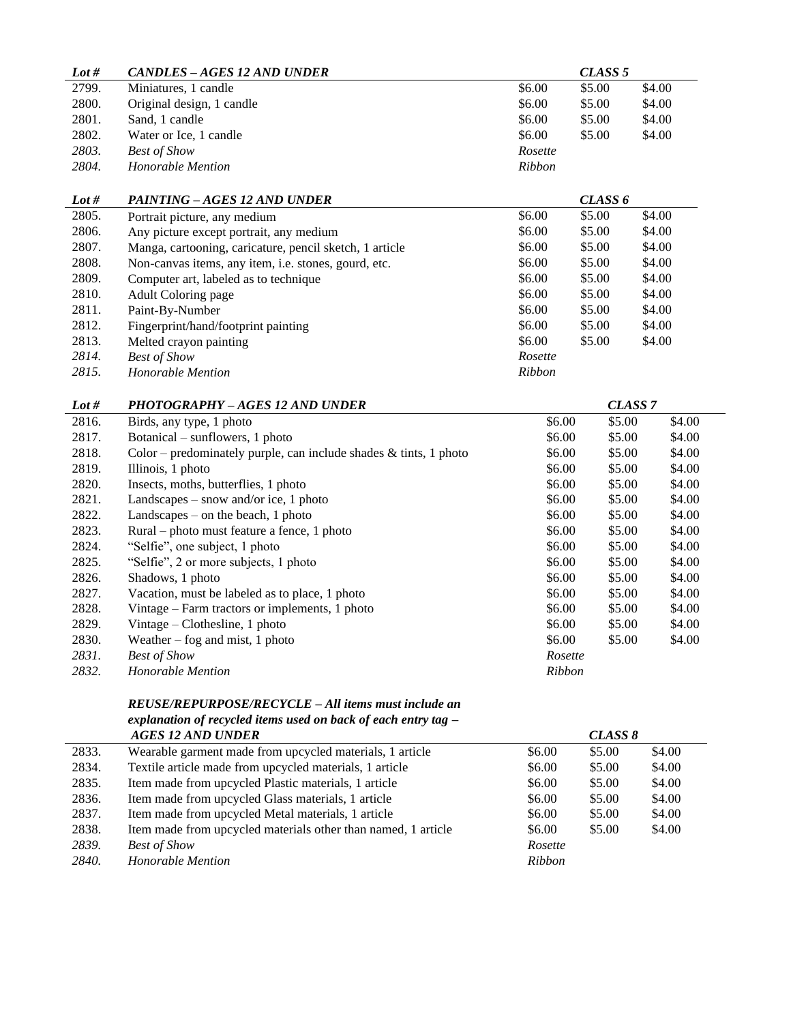| Lot # | CANDLES – AGES 12 AND UNDER |               | CLASS 5 |        |
|-------|-----------------------------|---------------|---------|--------|
| 2799. | Miniatures, 1 candle        | \$6.00        | \$5.00  | \$4.00 |
| 2800. | Original design, 1 candle   | \$6.00        | \$5.00  | \$4.00 |
| 2801. | Sand, 1 candle              | \$6.00        | \$5.00  | \$4.00 |
| 2802. | Water or Ice, 1 candle      | \$6.00        | \$5.00  | \$4.00 |
| 2803. | <b>Best of Show</b>         | Rosette       |         |        |
| 2804. | Honorable Mention           | <i>Ribbon</i> |         |        |

| Lot # | <b>PAINTING - AGES 12 AND UNDER</b>                     |         | CLASS <sub>6</sub> |        |
|-------|---------------------------------------------------------|---------|--------------------|--------|
| 2805. | Portrait picture, any medium                            | \$6.00  | \$5.00             | \$4.00 |
| 2806. | Any picture except portrait, any medium                 | \$6.00  | \$5.00             | \$4.00 |
| 2807. | Manga, cartooning, caricature, pencil sketch, 1 article | \$6.00  | \$5.00             | \$4.00 |
| 2808. | Non-canvas items, any item, i.e. stones, gourd, etc.    | \$6.00  | \$5.00             | \$4.00 |
| 2809. | Computer art, labeled as to technique                   | \$6.00  | \$5.00             | \$4.00 |
| 2810. | Adult Coloring page                                     | \$6.00  | \$5.00             | \$4.00 |
| 2811. | Paint-By-Number                                         | \$6.00  | \$5.00             | \$4.00 |
| 2812. | Fingerprint/hand/footprint painting                     | \$6.00  | \$5.00             | \$4.00 |
| 2813. | Melted crayon painting                                  | \$6.00  | \$5.00             | \$4.00 |
| 2814. | <b>Best of Show</b>                                     | Rosette |                    |        |
| 2815. | Honorable Mention                                       | Ribbon  |                    |        |

| Lot # | <b>PHOTOGRAPHY - AGES 12 AND UNDER</b>                               | CLASS <sub>7</sub> |        |        |
|-------|----------------------------------------------------------------------|--------------------|--------|--------|
| 2816. | Birds, any type, 1 photo                                             | \$6.00             | \$5.00 | \$4.00 |
| 2817. | Botanical – sunflowers, 1 photo                                      | \$6.00             | \$5.00 | \$4.00 |
| 2818. | Color – predominately purple, can include shades $\&$ tints, 1 photo | \$6.00             | \$5.00 | \$4.00 |
| 2819. | Illinois, 1 photo                                                    | \$6.00             | \$5.00 | \$4.00 |
| 2820. | Insects, moths, butterflies, 1 photo                                 | \$6.00             | \$5.00 | \$4.00 |
| 2821. | Landscapes – snow and/or ice, 1 photo                                | \$6.00             | \$5.00 | \$4.00 |
| 2822. | Landscapes $-$ on the beach, 1 photo                                 | \$6.00             | \$5.00 | \$4.00 |
| 2823. | Rural – photo must feature a fence, 1 photo                          | \$6.00             | \$5.00 | \$4.00 |
| 2824. | "Selfie", one subject, 1 photo                                       | \$6.00             | \$5.00 | \$4.00 |
| 2825. | "Selfie", 2 or more subjects, 1 photo                                | \$6.00             | \$5.00 | \$4.00 |
| 2826. | Shadows, 1 photo                                                     | \$6.00             | \$5.00 | \$4.00 |
| 2827. | Vacation, must be labeled as to place, 1 photo                       | \$6.00             | \$5.00 | \$4.00 |
| 2828. | Vintage – Farm tractors or implements, 1 photo                       | \$6.00             | \$5.00 | \$4.00 |
| 2829. | Vintage – Clothesline, 1 photo                                       | \$6.00             | \$5.00 | \$4.00 |
| 2830. | Weather $-$ fog and mist, 1 photo                                    | \$6.00             | \$5.00 | \$4.00 |
| 2831. | <b>Best of Show</b>                                                  | Rosette            |        |        |
| 2832. | Honorable Mention                                                    | <b>Ribbon</b>      |        |        |

#### *REUSE/REPURPOSE/RECYCLE – All items must include an explanation of recycled items used on back of each entry tag – AGES 12 AND UNDER CLASS 8*

| AVE9 12 AND UNDER                                             |         | <i>ULADD 0</i> |        |
|---------------------------------------------------------------|---------|----------------|--------|
| Wearable garment made from upcycled materials, 1 article      | \$6.00  | \$5.00         | \$4.00 |
| Textile article made from upcycled materials, 1 article       | \$6.00  | \$5.00         | \$4.00 |
| Item made from upcycled Plastic materials, 1 article          | \$6.00  | \$5.00         | \$4.00 |
| Item made from upcycled Glass materials, 1 article            | \$6.00  | \$5.00         | \$4.00 |
| Item made from upcycled Metal materials, 1 article            | \$6.00  | \$5.00         | \$4.00 |
| Item made from upcycled materials other than named, 1 article | \$6.00  | \$5.00         | \$4.00 |
| <b>Best of Show</b>                                           | Rosette |                |        |
| Honorable Mention                                             | Ribbon  |                |        |
|                                                               |         |                |        |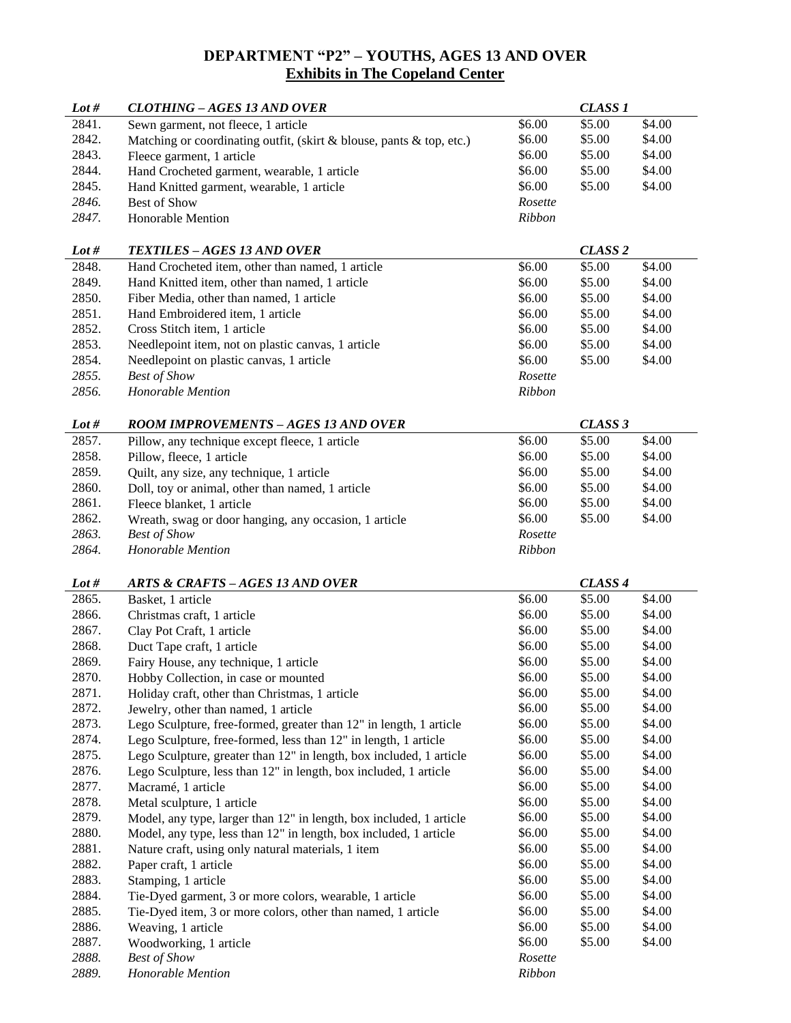# **DEPARTMENT "P2" – YOUTHS, AGES 13 AND OVER Exhibits in The Copeland Center**

| Lot $#$ | <b>CLOTHING - AGES 13 AND OVER</b>                                   |                   | CLASS <sub>1</sub> |        |
|---------|----------------------------------------------------------------------|-------------------|--------------------|--------|
| 2841.   | Sewn garment, not fleece, 1 article                                  | \$6.00            | \$5.00             | \$4.00 |
| 2842.   | Matching or coordinating outfit, (skirt & blouse, pants & top, etc.) | \$6.00            | \$5.00             | \$4.00 |
| 2843.   | Fleece garment, 1 article                                            | \$6.00            | \$5.00             | \$4.00 |
| 2844.   | Hand Crocheted garment, wearable, 1 article                          | \$6.00            | \$5.00             | \$4.00 |
| 2845.   | Hand Knitted garment, wearable, 1 article                            | \$6.00            | \$5.00             | \$4.00 |
| 2846.   | Best of Show                                                         | Rosette           |                    |        |
| 2847.   | <b>Honorable Mention</b>                                             | <b>Ribbon</b>     |                    |        |
|         |                                                                      |                   |                    |        |
| Lot #   | <b>TEXTILES - AGES 13 AND OVER</b>                                   |                   | CLASS <sub>2</sub> |        |
| 2848.   | Hand Crocheted item, other than named, 1 article                     | \$6.00            | \$5.00             | \$4.00 |
| 2849.   | Hand Knitted item, other than named, 1 article                       | \$6.00            | \$5.00             | \$4.00 |
| 2850.   | Fiber Media, other than named, 1 article                             | \$6.00            | \$5.00             | \$4.00 |
| 2851.   | Hand Embroidered item, 1 article                                     | \$6.00            | \$5.00             | \$4.00 |
| 2852.   | Cross Stitch item, 1 article                                         | \$6.00            | \$5.00             | \$4.00 |
| 2853.   | Needlepoint item, not on plastic canvas, 1 article                   | \$6.00            | \$5.00             | \$4.00 |
| 2854.   | Needlepoint on plastic canvas, 1 article                             | \$6.00            | \$5.00             | \$4.00 |
| 2855.   | <b>Best of Show</b>                                                  | Rosette           |                    |        |
| 2856.   | Honorable Mention                                                    | <b>Ribbon</b>     |                    |        |
|         |                                                                      |                   |                    |        |
| Lot $#$ | <b>ROOM IMPROVEMENTS - AGES 13 AND OVER</b>                          |                   | CLASS 3            |        |
| 2857.   | Pillow, any technique except fleece, 1 article                       | \$6.00            | \$5.00             | \$4.00 |
| 2858.   | Pillow, fleece, 1 article                                            | \$6.00            | \$5.00             | \$4.00 |
| 2859.   | Quilt, any size, any technique, 1 article                            | \$6.00            | \$5.00             | \$4.00 |
| 2860.   | Doll, toy or animal, other than named, 1 article                     | \$6.00            | \$5.00             | \$4.00 |
| 2861.   | Fleece blanket, 1 article                                            | \$6.00            | \$5.00             | \$4.00 |
| 2862.   | Wreath, swag or door hanging, any occasion, 1 article                | \$6.00            | \$5.00             | \$4.00 |
| 2863.   | <b>Best of Show</b>                                                  | Rosette           |                    |        |
| 2864.   | Honorable Mention                                                    | <b>Ribbon</b>     |                    |        |
|         |                                                                      |                   |                    |        |
| Lot #   | <b>ARTS &amp; CRAFTS - AGES 13 AND OVER</b>                          |                   | CLASS <sub>4</sub> |        |
| 2865.   | Basket, 1 article                                                    | \$6.00            | \$5.00             | \$4.00 |
| 2866.   | Christmas craft, 1 article                                           | \$6.00            | \$5.00             | \$4.00 |
| 2867.   | Clay Pot Craft, 1 article                                            | \$6.00            | \$5.00             | \$4.00 |
| 2868.   | Duct Tape craft, 1 article                                           | \$6.00            | \$5.00             | \$4.00 |
| 2869.   | Fairy House, any technique, 1 article                                | \$6.00            | \$5.00             | \$4.00 |
| 2870.   | Hobby Collection, in case or mounted                                 | \$6.00            | \$5.00             | \$4.00 |
| 2871.   | Holiday craft, other than Christmas, 1 article                       | \$6.00            | \$5.00             | \$4.00 |
| 2872.   | Jewelry, other than named, 1 article                                 | \$6.00            | \$5.00             | \$4.00 |
| 2873.   | Lego Sculpture, free-formed, greater than 12" in length, 1 article   | \$6.00            | \$5.00             | \$4.00 |
| 2874.   | Lego Sculpture, free-formed, less than 12" in length, 1 article      | \$6.00            | \$5.00             | \$4.00 |
| 2875.   | Lego Sculpture, greater than 12" in length, box included, 1 article  | \$6.00            | \$5.00             | \$4.00 |
| 2876.   | Lego Sculpture, less than 12" in length, box included, 1 article     | \$6.00            | \$5.00             | \$4.00 |
| 2877.   | Macramé, 1 article                                                   | \$6.00            | \$5.00             | \$4.00 |
| 2878.   | Metal sculpture, 1 article                                           | \$6.00            | \$5.00             | \$4.00 |
| 2879.   | Model, any type, larger than 12" in length, box included, 1 article  | \$6.00            | \$5.00             | \$4.00 |
| 2880.   | Model, any type, less than 12" in length, box included, 1 article    | \$6.00            | \$5.00             | \$4.00 |
| 2881.   | Nature craft, using only natural materials, 1 item                   | \$6.00            | \$5.00             | \$4.00 |
| 2882.   | Paper craft, 1 article                                               | \$6.00            | \$5.00             | \$4.00 |
| 2883.   | Stamping, 1 article                                                  | \$6.00            | \$5.00             | \$4.00 |
| 2884.   | Tie-Dyed garment, 3 or more colors, wearable, 1 article              | \$6.00            | \$5.00             | \$4.00 |
| 2885.   | Tie-Dyed item, 3 or more colors, other than named, 1 article         | \$6.00            | \$5.00             | \$4.00 |
| 2886.   | Weaving, 1 article                                                   | \$6.00            | \$5.00             | \$4.00 |
| 2887.   | Woodworking, 1 article                                               | \$6.00            | \$5.00             | \$4.00 |
| 2888.   |                                                                      |                   |                    |        |
| 2889.   | <b>Best of Show</b><br>Honorable Mention                             | Rosette<br>Ribbon |                    |        |